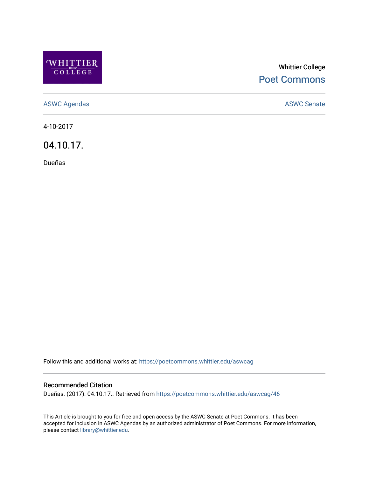

## Whittier College [Poet Commons](https://poetcommons.whittier.edu/)

[ASWC Agendas](https://poetcommons.whittier.edu/aswcag) **ASWC Senate** 

4-10-2017

04.10.17.

Dueñas

Follow this and additional works at: [https://poetcommons.whittier.edu/aswcag](https://poetcommons.whittier.edu/aswcag?utm_source=poetcommons.whittier.edu%2Faswcag%2F46&utm_medium=PDF&utm_campaign=PDFCoverPages) 

## Recommended Citation

Dueñas. (2017). 04.10.17.. Retrieved from [https://poetcommons.whittier.edu/aswcag/46](https://poetcommons.whittier.edu/aswcag/46?utm_source=poetcommons.whittier.edu%2Faswcag%2F46&utm_medium=PDF&utm_campaign=PDFCoverPages) 

This Article is brought to you for free and open access by the ASWC Senate at Poet Commons. It has been accepted for inclusion in ASWC Agendas by an authorized administrator of Poet Commons. For more information, please contact [library@whittier.edu](mailto:library@whittier.edu).